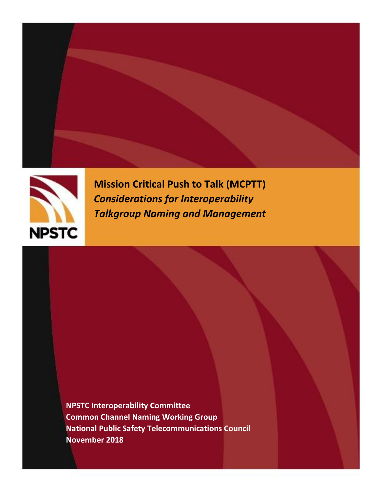



**Mission Critical Push to Talk (MCPTT)** *Considerations for Interoperability Talkgroup Naming and Management*

**NPSTC Interoperability Committee Common Channel Naming Working Group National Public Safety Telecommunications Council November 2018**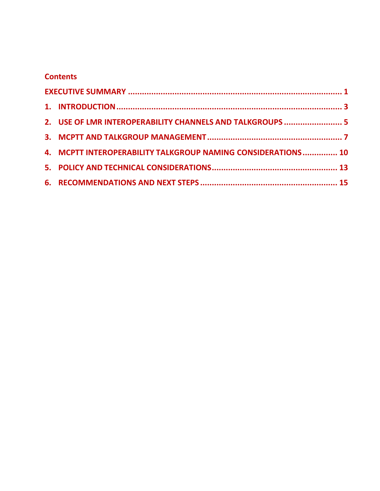#### **Contents**

|  | 2. USE OF LMR INTEROPERABILITY CHANNELS AND TALKGROUPS  5    |  |
|--|--------------------------------------------------------------|--|
|  |                                                              |  |
|  | 4. MCPTT INTEROPERABILITY TALKGROUP NAMING CONSIDERATIONS 10 |  |
|  |                                                              |  |
|  |                                                              |  |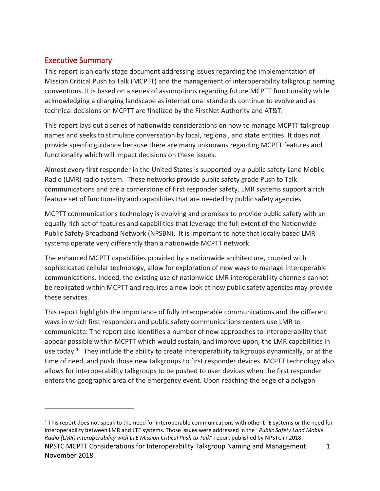#### <span id="page-2-0"></span>Executive Summary

 $\overline{a}$ 

This report is an early stage document addressing issues regarding the implementation of Mission Critical Push to Talk (MCPTT) and the management of interoperability talkgroup naming conventions. It is based on a series of assumptions regarding future MCPTT functionality while acknowledging a changing landscape as international standards continue to evolve and as technical decisions on MCPTT are finalized by the FirstNet Authority and AT&T.

This report lays out a series of nationwide considerations on how to manage MCPTT talkgroup names and seeks to stimulate conversation by local, regional, and state entities. It does not provide specific guidance because there are many unknowns regarding MCPTT features and functionality which will impact decisions on these issues.

Almost every first responder in the United States is supported by a public safety Land Mobile Radio (LMR) radio system. These networks provide public safety grade Push to Talk communications and are a cornerstone of first responder safety. LMR systems support a rich feature set of functionality and capabilities that are needed by public safety agencies.

MCPTT communications technology is evolving and promises to provide public safety with an equally rich set of features and capabilities that leverage the full extent of the Nationwide Public Safety Broadband Network (NPSBN). It is important to note that locally based LMR systems operate very differently than a nationwide MCPTT network.

The enhanced MCPTT capabilities provided by a nationwide architecture, coupled with sophisticated cellular technology, allow for exploration of new ways to manage interoperable communications. Indeed, the existing use of nationwide LMR interoperability channels cannot be replicated within MCPTT and requires a new look at how public safety agencies may provide these services.

This report highlights the importance of fully interoperable communications and the different ways in which first responders and public safety communications centers use LMR to communicate. The report also identifies a number of new approaches to interoperability that appear possible within MCPTT which would sustain, and improve upon, the LMR capabilities in use today.<sup>1</sup> They include the ability to create interoperability talkgroups dynamically, or at the time of need, and push those new talkgroups to first responder devices. MCPTT technology also allows for interoperability talkgroups to be pushed to user devices when the first responder enters the geographic area of the emergency event. Upon reaching the edge of a polygon

NPSTC MCPTT Considerations for Interoperability Talkgroup Naming and Management 1 November 2018  $1$  This report does not speak to the need for interoperable communications with other LTE systems or the need for interoperability between LMR and LTE systems. Those issues were addressed in the "*Public Safety Land Mobile Radio (LMR) Interoperability with LTE Mission Critical Push to Talk*" report published by NPSTC in 2018.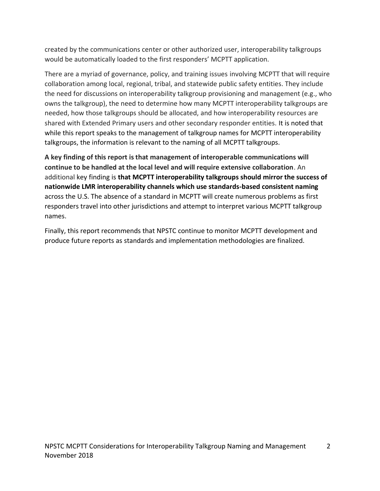created by the communications center or other authorized user, interoperability talkgroups would be automatically loaded to the first responders' MCPTT application.

There are a myriad of governance, policy, and training issues involving MCPTT that will require collaboration among local, regional, tribal, and statewide public safety entities. They include the need for discussions on interoperability talkgroup provisioning and management (e.g., who owns the talkgroup), the need to determine how many MCPTT interoperability talkgroups are needed, how those talkgroups should be allocated, and how interoperability resources are shared with Extended Primary users and other secondary responder entities. It is noted that while this report speaks to the management of talkgroup names for MCPTT interoperability talkgroups, the information is relevant to the naming of all MCPTT talkgroups.

**A key finding of this report is that management of interoperable communications will continue to be handled at the local level and will require extensive collaboration**. An additional key finding is **that MCPTT interoperability talkgroups should mirror the success of nationwide LMR interoperability channels which use standards-based consistent naming** across the U.S. The absence of a standard in MCPTT will create numerous problems as first responders travel into other jurisdictions and attempt to interpret various MCPTT talkgroup names.

Finally, this report recommends that NPSTC continue to monitor MCPTT development and produce future reports as standards and implementation methodologies are finalized.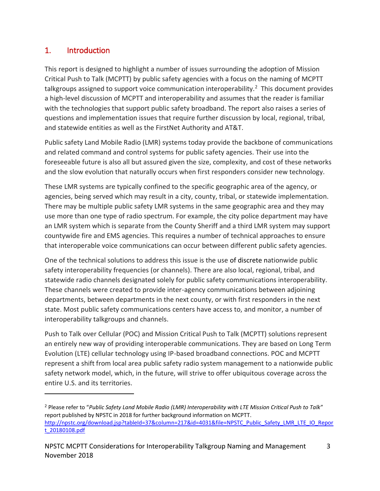### <span id="page-4-0"></span>1. Introduction

 $\overline{a}$ 

This report is designed to highlight a number of issues surrounding the adoption of Mission Critical Push to Talk (MCPTT) by public safety agencies with a focus on the naming of MCPTT talkgroups assigned to support voice communication interoperability.<sup>2</sup> This document provides a high-level discussion of MCPTT and interoperability and assumes that the reader is familiar with the technologies that support public safety broadband. The report also raises a series of questions and implementation issues that require further discussion by local, regional, tribal, and statewide entities as well as the FirstNet Authority and AT&T.

Public safety Land Mobile Radio (LMR) systems today provide the backbone of communications and related command and control systems for public safety agencies. Their use into the foreseeable future is also all but assured given the size, complexity, and cost of these networks and the slow evolution that naturally occurs when first responders consider new technology.

These LMR systems are typically confined to the specific geographic area of the agency, or agencies, being served which may result in a city, county, tribal, or statewide implementation. There may be multiple public safety LMR systems in the same geographic area and they may use more than one type of radio spectrum. For example, the city police department may have an LMR system which is separate from the County Sheriff and a third LMR system may support countywide fire and EMS agencies. This requires a number of technical approaches to ensure that interoperable voice communications can occur between different public safety agencies.

One of the technical solutions to address this issue is the use of discrete nationwide public safety interoperability frequencies (or channels). There are also local, regional, tribal, and statewide radio channels designated solely for public safety communications interoperability. These channels were created to provide inter-agency communications between adjoining departments, between departments in the next county, or with first responders in the next state. Most public safety communications centers have access to, and monitor, a number of interoperability talkgroups and channels.

Push to Talk over Cellular (POC) and Mission Critical Push to Talk (MCPTT) solutions represent an entirely new way of providing interoperable communications. They are based on Long Term Evolution (LTE) cellular technology using IP-based broadband connections. POC and MCPTT represent a shift from local area public safety radio system management to a nationwide public safety network model, which, in the future, will strive to offer ubiquitous coverage across the entire U.S. and its territories.

<sup>2</sup> Please refer to "*Public Safety Land Mobile Radio (LMR) Interoperability with LTE Mission Critical Push to Talk*" report published by NPSTC in 2018 for further background information on MCPTT. [http://npstc.org/download.jsp?tableId=37&column=217&id=4031&file=NPSTC\\_Public\\_Safety\\_LMR\\_LTE\\_IO\\_Repor](http://npstc.org/download.jsp?tableId=37&column=217&id=4031&file=NPSTC_Public_Safety_LMR_LTE_IO_Report_20180108.pdf) [t\\_20180108.pdf](http://npstc.org/download.jsp?tableId=37&column=217&id=4031&file=NPSTC_Public_Safety_LMR_LTE_IO_Report_20180108.pdf)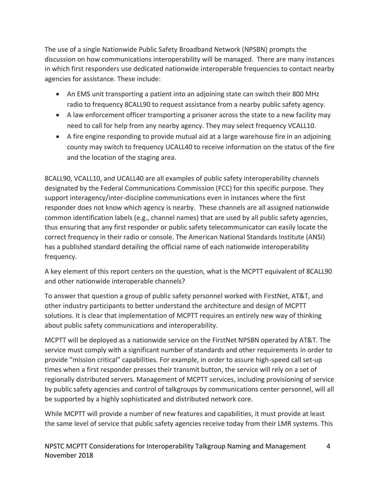The use of a single Nationwide Public Safety Broadband Network (NPSBN) prompts the discussion on how communications interoperability will be managed. There are many instances in which first responders use dedicated nationwide interoperable frequencies to contact nearby agencies for assistance. These include:

- An EMS unit transporting a patient into an adjoining state can switch their 800 MHz radio to frequency 8CALL90 to request assistance from a nearby public safety agency.
- A law enforcement officer transporting a prisoner across the state to a new facility may need to call for help from any nearby agency. They may select frequency VCALL10.
- A fire engine responding to provide mutual aid at a large warehouse fire in an adjoining county may switch to frequency UCALL40 to receive information on the status of the fire and the location of the staging area.

8CALL90, VCALL10, and UCALL40 are all examples of public safety interoperability channels designated by the Federal Communications Commission (FCC) for this specific purpose. They support interagency/inter-discipline communications even in instances where the first responder does not know which agency is nearby. These channels are all assigned nationwide common identification labels (e.g., channel names) that are used by all public safety agencies, thus ensuring that any first responder or public safety telecommunicator can easily locate the correct frequency in their radio or console. The American National Standards Institute (ANSI) has a published standard detailing the official name of each nationwide interoperability frequency.

A key element of this report centers on the question, what is the MCPTT equivalent of 8CALL90 and other nationwide interoperable channels?

To answer that question a group of public safety personnel worked with FirstNet, AT&T, and other industry participants to better understand the architecture and design of MCPTT solutions. It is clear that implementation of MCPTT requires an entirely new way of thinking about public safety communications and interoperability.

MCPTT will be deployed as a nationwide service on the FirstNet NPSBN operated by AT&T. The service must comply with a significant number of standards and other requirements in order to provide "mission critical" capabilities. For example, in order to assure high-speed call set-up times when a first responder presses their transmit button, the service will rely on a set of regionally distributed servers. Management of MCPTT services, including provisioning of service by public safety agencies and control of talkgroups by communications center personnel, will all be supported by a highly sophisticated and distributed network core.

While MCPTT will provide a number of new features and capabilities, it must provide at least the same level of service that public safety agencies receive today from their LMR systems. This

NPSTC MCPTT Considerations for Interoperability Talkgroup Naming and Management 4 November 2018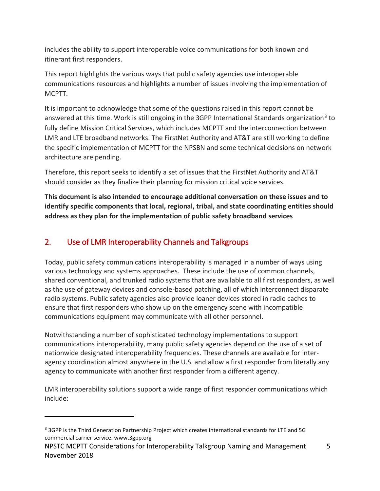includes the ability to support interoperable voice communications for both known and itinerant first responders.

This report highlights the various ways that public safety agencies use interoperable communications resources and highlights a number of issues involving the implementation of MCPTT.

It is important to acknowledge that some of the questions raised in this report cannot be answered at this time. Work is still ongoing in the 3GPP International Standards organization<sup>3</sup> to fully define Mission Critical Services, which includes MCPTT and the interconnection between LMR and LTE broadband networks. The FirstNet Authority and AT&T are still working to define the specific implementation of MCPTT for the NPSBN and some technical decisions on network architecture are pending.

Therefore, this report seeks to identify a set of issues that the FirstNet Authority and AT&T should consider as they finalize their planning for mission critical voice services.

**This document is also intended to encourage additional conversation on these issues and to identify specific components that local, regional, tribal, and state coordinating entities should address as they plan for the implementation of public safety broadband services**

### <span id="page-6-0"></span>2. Use of LMR Interoperability Channels and Talkgroups

Today, public safety communications interoperability is managed in a number of ways using various technology and systems approaches. These include the use of common channels, shared conventional, and trunked radio systems that are available to all first responders, as well as the use of gateway devices and console-based patching, all of which interconnect disparate radio systems. Public safety agencies also provide loaner devices stored in radio caches to ensure that first responders who show up on the emergency scene with incompatible communications equipment may communicate with all other personnel.

Notwithstanding a number of sophisticated technology implementations to support communications interoperability, many public safety agencies depend on the use of a set of nationwide designated interoperability frequencies. These channels are available for interagency coordination almost anywhere in the U.S. and allow a first responder from literally any agency to communicate with another first responder from a different agency.

LMR interoperability solutions support a wide range of first responder communications which include:

<sup>&</sup>lt;sup>3</sup> 3GPP is the Third Generation Partnership Project which creates international standards for LTE and 5G commercial carrier service. www.3gpp.org

NPSTC MCPTT Considerations for Interoperability Talkgroup Naming and Management 5 November 2018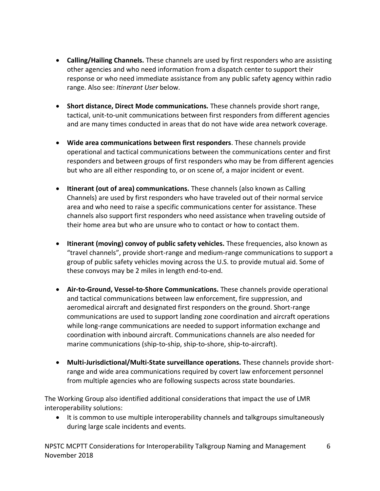- **Calling/Hailing Channels.** These channels are used by first responders who are assisting other agencies and who need information from a dispatch center to support their response or who need immediate assistance from any public safety agency within radio range. Also see: *Itinerant User* below.
- **Short distance, Direct Mode communications.** These channels provide short range, tactical, unit-to-unit communications between first responders from different agencies and are many times conducted in areas that do not have wide area network coverage.
- **Wide area communications between first responders**. These channels provide operational and tactical communications between the communications center and first responders and between groups of first responders who may be from different agencies but who are all either responding to, or on scene of, a major incident or event.
- **Itinerant (out of area) communications.** These channels (also known as Calling Channels) are used by first responders who have traveled out of their normal service area and who need to raise a specific communications center for assistance. These channels also support first responders who need assistance when traveling outside of their home area but who are unsure who to contact or how to contact them.
- **Itinerant (moving) convoy of public safety vehicles.** These frequencies, also known as "travel channels", provide short-range and medium-range communications to support a group of public safety vehicles moving across the U.S. to provide mutual aid. Some of these convoys may be 2 miles in length end-to-end.
- **Air-to-Ground, Vessel-to-Shore Communications.** These channels provide operational and tactical communications between law enforcement, fire suppression, and aeromedical aircraft and designated first responders on the ground. Short-range communications are used to support landing zone coordination and aircraft operations while long-range communications are needed to support information exchange and coordination with inbound aircraft. Communications channels are also needed for marine communications (ship-to-ship, ship-to-shore, ship-to-aircraft).
- **Multi-Jurisdictional/Multi-State surveillance operations.** These channels provide shortrange and wide area communications required by covert law enforcement personnel from multiple agencies who are following suspects across state boundaries.

The Working Group also identified additional considerations that impact the use of LMR interoperability solutions:

• It is common to use multiple interoperability channels and talkgroups simultaneously during large scale incidents and events.

NPSTC MCPTT Considerations for Interoperability Talkgroup Naming and Management 6 November 2018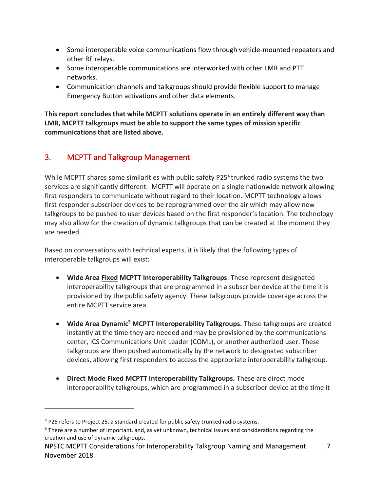- Some interoperable voice communications flow through vehicle-mounted repeaters and other RF relays.
- Some interoperable communications are interworked with other LMR and PTT networks.
- Communication channels and talkgroups should provide flexible support to manage Emergency Button activations and other data elements.

**This report concludes that while MCPTT solutions operate in an entirely different way than LMR, MCPTT talkgroups must be able to support the same types of mission specific communications that are listed above.**

### <span id="page-8-0"></span>3. MCPTT and Talkgroup Management

While MCPTT shares some similarities with public safety P25<sup>4</sup> trunked radio systems the two services are significantly different. MCPTT will operate on a single nationwide network allowing first responders to communicate without regard to their location. MCPTT technology allows first responder subscriber devices to be reprogrammed over the air which may allow new talkgroups to be pushed to user devices based on the first responder's location. The technology may also allow for the creation of dynamic talkgroups that can be created at the moment they are needed.

Based on conversations with technical experts, it is likely that the following types of interoperable talkgroups will exist:

- **Wide Area Fixed MCPTT Interoperability Talkgroups**. These represent designated interoperability talkgroups that are programmed in a subscriber device at the time it is provisioned by the public safety agency. These talkgroups provide coverage across the entire MCPTT service area.
- **Wide Area Dynamic<sup>5</sup> MCPTT Interoperability Talkgroups.** These talkgroups are created instantly at the time they are needed and may be provisioned by the communications center, ICS Communications Unit Leader (COML), or another authorized user. These talkgroups are then pushed automatically by the network to designated subscriber devices, allowing first responders to access the appropriate interoperability talkgroup.
- **Direct Mode Fixed MCPTT Interoperability Talkgroups.** These are direct mode interoperability talkgroups, which are programmed in a subscriber device at the time it

<sup>4</sup> P25 refers to Project 25, a standard created for public safety trunked radio systems.

 $5$  There are a number of important, and, as yet unknown, technical issues and considerations regarding the creation and use of dynamic talkgroups.

NPSTC MCPTT Considerations for Interoperability Talkgroup Naming and Management 7 November 2018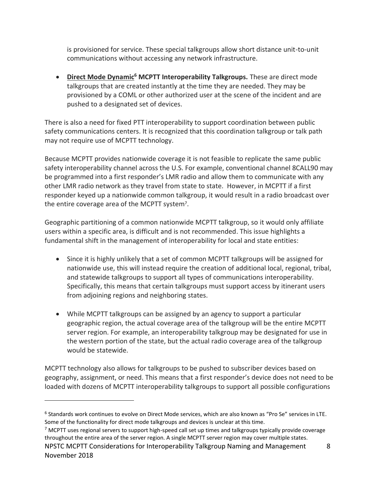is provisioned for service. These special talkgroups allow short distance unit-to-unit communications without accessing any network infrastructure.

• **Direct Mode Dynamic<sup>6</sup> MCPTT Interoperability Talkgroups.** These are direct mode talkgroups that are created instantly at the time they are needed. They may be provisioned by a COML or other authorized user at the scene of the incident and are pushed to a designated set of devices.

There is also a need for fixed PTT interoperability to support coordination between public safety communications centers. It is recognized that this coordination talkgroup or talk path may not require use of MCPTT technology.

Because MCPTT provides nationwide coverage it is not feasible to replicate the same public safety interoperability channel across the U.S. For example, conventional channel 8CALL90 may be programmed into a first responder's LMR radio and allow them to communicate with any other LMR radio network as they travel from state to state. However, in MCPTT if a first responder keyed up a nationwide common talkgroup, it would result in a radio broadcast over the entire coverage area of the MCPTT system<sup>7</sup>.

Geographic partitioning of a common nationwide MCPTT talkgroup, so it would only affiliate users within a specific area, is difficult and is not recommended. This issue highlights a fundamental shift in the management of interoperability for local and state entities:

- Since it is highly unlikely that a set of common MCPTT talkgroups will be assigned for nationwide use, this will instead require the creation of additional local, regional, tribal, and statewide talkgroups to support all types of communications interoperability. Specifically, this means that certain talkgroups must support access by itinerant users from adjoining regions and neighboring states.
- While MCPTT talkgroups can be assigned by an agency to support a particular geographic region, the actual coverage area of the talkgroup will be the entire MCPTT server region. For example, an interoperability talkgroup may be designated for use in the western portion of the state, but the actual radio coverage area of the talkgroup would be statewide.

MCPTT technology also allows for talkgroups to be pushed to subscriber devices based on geography, assignment, or need. This means that a first responder's device does not need to be loaded with dozens of MCPTT interoperability talkgroups to support all possible configurations

<sup>&</sup>lt;sup>6</sup> Standards work continues to evolve on Direct Mode services, which are also known as "Pro Se" services in LTE. Some of the functionality for direct mode talkgroups and devices is unclear at this time.

NPSTC MCPTT Considerations for Interoperability Talkgroup Naming and Management 8  $<sup>7</sup>$  MCPTT uses regional servers to support high-speed call set up times and talkgroups typically provide coverage</sup> throughout the entire area of the server region. A single MCPTT server region may cover multiple states.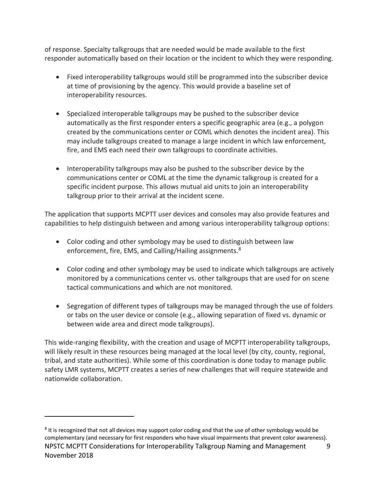of response. Specialty talkgroups that are needed would be made available to the first responder automatically based on their location or the incident to which they were responding.

- Fixed interoperability talkgroups would still be programmed into the subscriber device at time of provisioning by the agency. This would provide a baseline set of interoperability resources.
- Specialized interoperable talkgroups may be pushed to the subscriber device automatically as the first responder enters a specific geographic area (e.g., a polygon created by the communications center or COML which denotes the incident area). This may include talkgroups created to manage a large incident in which law enforcement, fire, and EMS each need their own talkgroups to coordinate activities.
- Interoperability talkgroups may also be pushed to the subscriber device by the communications center or COML at the time the dynamic talkgroup is created for a specific incident purpose. This allows mutual aid units to join an interoperability talkgroup prior to their arrival at the incident scene.

The application that supports MCPTT user devices and consoles may also provide features and capabilities to help distinguish between and among various interoperability talkgroup options:

- Color coding and other symbology may be used to distinguish between law enforcement, fire, EMS, and Calling/Hailing assignments.<sup>8</sup>
- Color coding and other symbology may be used to indicate which talkgroups are actively monitored by a communications center vs. other talkgroups that are used for on scene tactical communications and which are not monitored.
- Segregation of different types of talkgroups may be managed through the use of folders or tabs on the user device or console (e.g., allowing separation of fixed vs. dynamic or between wide area and direct mode talkgroups).

This wide-ranging flexibility, with the creation and usage of MCPTT interoperability talkgroups, will likely result in these resources being managed at the local level (by city, county, regional, tribal, and state authorities). While some of this coordination is done today to manage public safety LMR systems, MCPTT creates a series of new challenges that will require statewide and nationwide collaboration.

NPSTC MCPTT Considerations for Interoperability Talkgroup Naming and Management 9 November 2018  $8$  It is recognized that not all devices may support color coding and that the use of other symbology would be complementary (and necessary for first responders who have visual impairments that prevent color awareness).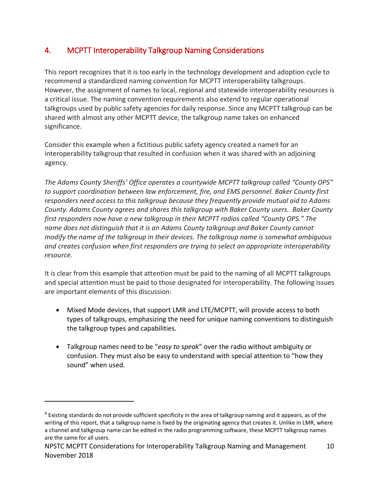# <span id="page-11-0"></span>4. MCPTT Interoperability Talkgroup Naming Considerations

This report recognizes that it is too early in the technology development and adoption cycle to recommend a standardized naming convention for MCPTT interoperability talkgroups. However, the assignment of names to local, regional and statewide interoperability resources is a critical issue. The naming convention requirements also extend to regular operational talkgroups used by public safety agencies for daily response. Since any MCPTT talkgroup can be shared with almost any other MCPTT device, the talkgroup name takes on enhanced significance.

Consider this example when a fictitious public safety agency created a name9 for an interoperability talkgroup that resulted in confusion when it was shared with an adjoining agency.

*The Adams County Sheriffs' Office operates a countywide MCPTT talkgroup called "County OPS" to support coordination between law enforcement, fire, and EMS personnel. Baker County first responders need access to this talkgroup because they frequently provide mutual aid to Adams County. Adams County agrees and shares this talkgroup with Baker County users. Baker County first responders now have a new talkgroup in their MCPTT radios called "County OPS." The name does not distinguish that it is an Adams County talkgroup and Baker County cannot modify the name of the talkgroup in their devices. The talkgroup name is somewhat ambiguous and creates confusion when first responders are trying to select an appropriate interoperability resource.*

It is clear from this example that attention must be paid to the naming of all MCPTT talkgroups and special attention must be paid to those designated for interoperability. The following issues are important elements of this discussion:

- Mixed Mode devices, that support LMR and LTE/MCPTT, will provide access to both types of talkgroups, emphasizing the need for unique naming conventions to distinguish the talkgroup types and capabilities.
- Talkgroup names need to be "*easy to speak*" over the radio without ambiguity or confusion. They must also be easy to understand with special attention to "how they sound" when used.

<sup>9</sup> Existing standards do not provide sufficient specificity in the area of talkgroup naming and it appears, as of the writing of this report, that a talkgroup name is fixed by the originating agency that creates it. Unlike in LMR, where a channel and talkgroup name can be edited in the radio programming software, these MCPTT talkgroup names are the same for all users.

NPSTC MCPTT Considerations for Interoperability Talkgroup Naming and Management 10 November 2018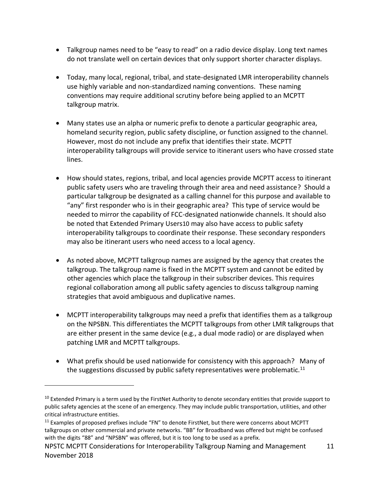- Talkgroup names need to be "easy to read" on a radio device display. Long text names do not translate well on certain devices that only support shorter character displays.
- Today, many local, regional, tribal, and state-designated LMR interoperability channels use highly variable and non-standardized naming conventions. These naming conventions may require additional scrutiny before being applied to an MCPTT talkgroup matrix.
- Many states use an alpha or numeric prefix to denote a particular geographic area, homeland security region, public safety discipline, or function assigned to the channel. However, most do not include any prefix that identifies their state. MCPTT interoperability talkgroups will provide service to itinerant users who have crossed state lines.
- How should states, regions, tribal, and local agencies provide MCPTT access to itinerant public safety users who are traveling through their area and need assistance? Should a particular talkgroup be designated as a calling channel for this purpose and available to "any" first responder who is in their geographic area? This type of service would be needed to mirror the capability of FCC-designated nationwide channels. It should also be noted that Extended Primary Users10 may also have access to public safety interoperability talkgroups to coordinate their response. These secondary responders may also be itinerant users who need access to a local agency.
- As noted above, MCPTT talkgroup names are assigned by the agency that creates the talkgroup. The talkgroup name is fixed in the MCPTT system and cannot be edited by other agencies which place the talkgroup in their subscriber devices. This requires regional collaboration among all public safety agencies to discuss talkgroup naming strategies that avoid ambiguous and duplicative names.
- MCPTT interoperability talkgroups may need a prefix that identifies them as a talkgroup on the NPSBN. This differentiates the MCPTT talkgroups from other LMR talkgroups that are either present in the same device (e.g., a dual mode radio) or are displayed when patching LMR and MCPTT talkgroups.
- What prefix should be used nationwide for consistency with this approach? Many of the suggestions discussed by public safety representatives were problematic.<sup>11</sup>

<sup>&</sup>lt;sup>10</sup> Extended Primary is a term used by the FirstNet Authority to denote secondary entities that provide support to public safety agencies at the scene of an emergency. They may include public transportation, utilities, and other critical infrastructure entities.

<sup>&</sup>lt;sup>11</sup> Examples of proposed prefixes include "FN" to denote FirstNet, but there were concerns about MCPTT talkgroups on other commercial and private networks. "BB" for Broadband was offered but might be confused with the digits "88" and "NPSBN" was offered, but it is too long to be used as a prefix.

NPSTC MCPTT Considerations for Interoperability Talkgroup Naming and Management 11 November 2018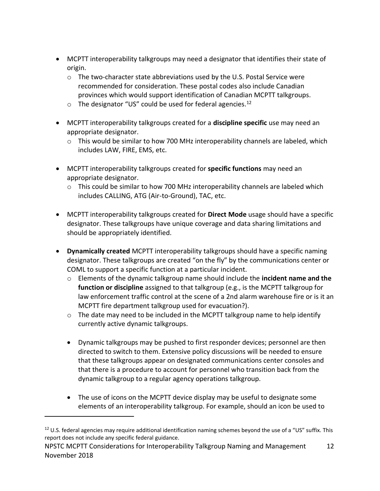- MCPTT interoperability talkgroups may need a designator that identifies their state of origin.
	- $\circ$  The two-character state abbreviations used by the U.S. Postal Service were recommended for consideration. These postal codes also include Canadian provinces which would support identification of Canadian MCPTT talkgroups.
	- $\circ$  The designator "US" could be used for federal agencies.<sup>12</sup>
- MCPTT interoperability talkgroups created for a **discipline specific** use may need an appropriate designator.
	- $\circ$  This would be similar to how 700 MHz interoperability channels are labeled, which includes LAW, FIRE, EMS, etc.
- MCPTT interoperability talkgroups created for **specific functions** may need an appropriate designator.
	- $\circ$  This could be similar to how 700 MHz interoperability channels are labeled which includes CALLING, ATG (Air-to-Ground), TAC, etc.
- MCPTT interoperability talkgroups created for **Direct Mode** usage should have a specific designator. These talkgroups have unique coverage and data sharing limitations and should be appropriately identified.
- **Dynamically created** MCPTT interoperability talkgroups should have a specific naming designator. These talkgroups are created "on the fly" by the communications center or COML to support a specific function at a particular incident.
	- o Elements of the dynamic talkgroup name should include the **incident name and the function or discipline** assigned to that talkgroup (e.g., is the MCPTT talkgroup for law enforcement traffic control at the scene of a 2nd alarm warehouse fire or is it an MCPTT fire department talkgroup used for evacuation?).
	- o The date may need to be included in the MCPTT talkgroup name to help identify currently active dynamic talkgroups.
	- Dynamic talkgroups may be pushed to first responder devices; personnel are then directed to switch to them. Extensive policy discussions will be needed to ensure that these talkgroups appear on designated communications center consoles and that there is a procedure to account for personnel who transition back from the dynamic talkgroup to a regular agency operations talkgroup.
	- The use of icons on the MCPTT device display may be useful to designate some elements of an interoperability talkgroup. For example, should an icon be used to

 $12$  U.S. federal agencies may require additional identification naming schemes beyond the use of a "US" suffix. This report does not include any specific federal guidance.

NPSTC MCPTT Considerations for Interoperability Talkgroup Naming and Management 12 November 2018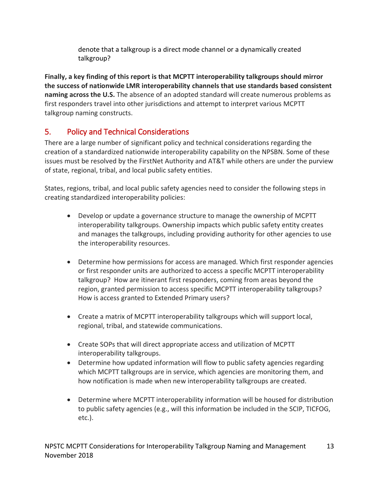denote that a talkgroup is a direct mode channel or a dynamically created talkgroup?

**Finally, a key finding of this report is that MCPTT interoperability talkgroups should mirror the success of nationwide LMR interoperability channels that use standards based consistent naming across the U.S.** The absence of an adopted standard will create numerous problems as first responders travel into other jurisdictions and attempt to interpret various MCPTT talkgroup naming constructs.

# <span id="page-14-0"></span>5. Policy and Technical Considerations

There are a large number of significant policy and technical considerations regarding the creation of a standardized nationwide interoperability capability on the NPSBN. Some of these issues must be resolved by the FirstNet Authority and AT&T while others are under the purview of state, regional, tribal, and local public safety entities.

States, regions, tribal, and local public safety agencies need to consider the following steps in creating standardized interoperability policies:

- Develop or update a governance structure to manage the ownership of MCPTT interoperability talkgroups. Ownership impacts which public safety entity creates and manages the talkgroups, including providing authority for other agencies to use the interoperability resources.
- Determine how permissions for access are managed. Which first responder agencies or first responder units are authorized to access a specific MCPTT interoperability talkgroup? How are itinerant first responders, coming from areas beyond the region, granted permission to access specific MCPTT interoperability talkgroups? How is access granted to Extended Primary users?
- Create a matrix of MCPTT interoperability talkgroups which will support local, regional, tribal, and statewide communications.
- Create SOPs that will direct appropriate access and utilization of MCPTT interoperability talkgroups.
- Determine how updated information will flow to public safety agencies regarding which MCPTT talkgroups are in service, which agencies are monitoring them, and how notification is made when new interoperability talkgroups are created.
- Determine where MCPTT interoperability information will be housed for distribution to public safety agencies (e.g., will this information be included in the SCIP, TICFOG, etc.).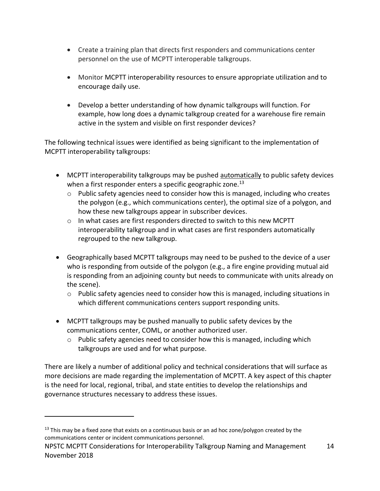- Create a training plan that directs first responders and communications center personnel on the use of MCPTT interoperable talkgroups.
- Monitor MCPTT interoperability resources to ensure appropriate utilization and to encourage daily use.
- Develop a better understanding of how dynamic talkgroups will function. For example, how long does a dynamic talkgroup created for a warehouse fire remain active in the system and visible on first responder devices?

The following technical issues were identified as being significant to the implementation of MCPTT interoperability talkgroups:

- MCPTT interoperability talkgroups may be pushed automatically to public safety devices when a first responder enters a specific geographic zone. $^{13}$ 
	- $\circ$  Public safety agencies need to consider how this is managed, including who creates the polygon (e.g., which communications center), the optimal size of a polygon, and how these new talkgroups appear in subscriber devices.
	- o In what cases are first responders directed to switch to this new MCPTT interoperability talkgroup and in what cases are first responders automatically regrouped to the new talkgroup.
- Geographically based MCPTT talkgroups may need to be pushed to the device of a user who is responding from outside of the polygon (e.g., a fire engine providing mutual aid is responding from an adjoining county but needs to communicate with units already on the scene).
	- $\circ$  Public safety agencies need to consider how this is managed, including situations in which different communications centers support responding units.
- MCPTT talkgroups may be pushed manually to public safety devices by the communications center, COML, or another authorized user.
	- $\circ$  Public safety agencies need to consider how this is managed, including which talkgroups are used and for what purpose.

There are likely a number of additional policy and technical considerations that will surface as more decisions are made regarding the implementation of MCPTT. A key aspect of this chapter is the need for local, regional, tribal, and state entities to develop the relationships and governance structures necessary to address these issues.

 $13$  This may be a fixed zone that exists on a continuous basis or an ad hoc zone/polygon created by the communications center or incident communications personnel.

NPSTC MCPTT Considerations for Interoperability Talkgroup Naming and Management 14 November 2018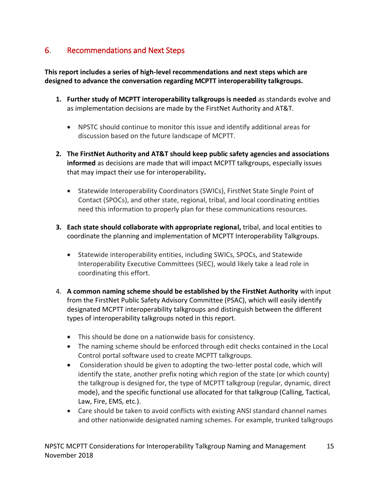# <span id="page-16-0"></span>6. Recommendations and Next Steps

**This report includes a series of high-level recommendations and next steps which are designed to advance the conversation regarding MCPTT interoperability talkgroups.** 

- **1. Further study of MCPTT interoperability talkgroups is needed** as standards evolve and as implementation decisions are made by the FirstNet Authority and AT&T.
	- NPSTC should continue to monitor this issue and identify additional areas for discussion based on the future landscape of MCPTT.
- **2. The FirstNet Authority and AT&T should keep public safety agencies and associations informed** as decisions are made that will impact MCPTT talkgroups, especially issues that may impact their use for interoperability**.** 
	- Statewide Interoperability Coordinators (SWICs), FirstNet State Single Point of Contact (SPOCs), and other state, regional, tribal, and local coordinating entities need this information to properly plan for these communications resources.
- **3. Each state should collaborate with appropriate regional,** tribal, and local entities to coordinate the planning and implementation of MCPTT Interoperability Talkgroups.
	- Statewide interoperability entities, including SWICs, SPOCs, and Statewide Interoperability Executive Committees (SIEC), would likely take a lead role in coordinating this effort.
- 4. **A common naming scheme should be established by the FirstNet Authority** with input from the FirstNet Public Safety Advisory Committee (PSAC), which will easily identify designated MCPTT interoperability talkgroups and distinguish between the different types of interoperability talkgroups noted in this report.
	- This should be done on a nationwide basis for consistency.
	- The naming scheme should be enforced through edit checks contained in the Local Control portal software used to create MCPTT talkgroups.
	- Consideration should be given to adopting the two-letter postal code, which will identify the state, another prefix noting which region of the state (or which county) the talkgroup is designed for, the type of MCPTT talkgroup (regular, dynamic, direct mode), and the specific functional use allocated for that talkgroup (Calling, Tactical, Law, Fire, EMS, etc.).
	- Care should be taken to avoid conflicts with existing ANSI standard channel names and other nationwide designated naming schemes. For example, trunked talkgroups